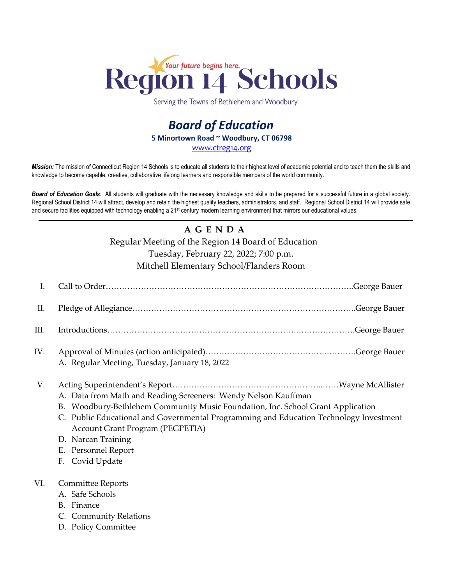

Serving the Towns of Bethlehem and Woodbury

## *Board of Education* **5 Minortown Road ~ Woodbury, CT 06798** [www.ctreg14.org](http://www.ctreg14.org/)

*Mission:* The mission of Connecticut Region 14 Schools is to educate all students to their highest level of academic potential and to teach them the skills and knowledge to become capable, creative, collaborative lifelong learners and responsible members of the world community.

*Board of Education Goals:* All students will graduate with the necessary knowledge and skills to be prepared for a successful future in a global society. Regional School District 14 will attract, develop and retain the highest quality teachers, administrators, and staff. Regional School District 14 will provide safe and secure facilities equipped with technology enabling a 21<sup>st</sup> century modern learning environment that mirrors our educational values.

# **A G E N D A**

Regular Meeting of the Region 14 Board of Education

Tuesday, February 22, 2022; 7:00 p.m.

Mitchell Elementary School/Flanders Room

| I.   |                                                                                                                                                                                                                                                                                                                                                        |
|------|--------------------------------------------------------------------------------------------------------------------------------------------------------------------------------------------------------------------------------------------------------------------------------------------------------------------------------------------------------|
| П.   |                                                                                                                                                                                                                                                                                                                                                        |
| III. |                                                                                                                                                                                                                                                                                                                                                        |
| IV.  | A. Regular Meeting, Tuesday, January 18, 2022                                                                                                                                                                                                                                                                                                          |
| V.   | A. Data from Math and Reading Screeners: Wendy Nelson Kauffman<br>B. Woodbury-Bethlehem Community Music Foundation, Inc. School Grant Application<br>C. Public Educational and Governmental Programming and Education Technology Investment<br><b>Account Grant Program (PEGPETIA)</b><br>D. Narcan Training<br>E. Personnel Report<br>F. Covid Update |
| VI.  | <b>Committee Reports</b><br>A. Safe Schools<br>B. Finance<br>C. Community Relations<br>D. Policy Committee                                                                                                                                                                                                                                             |